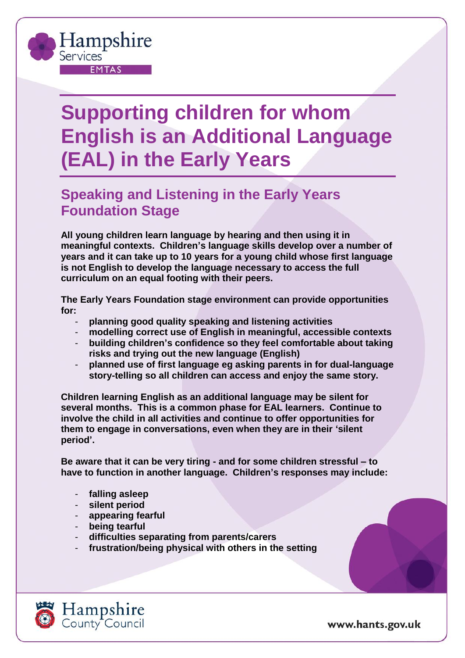## **Supporting children for whom English is an Additional Language (EAL) in the Early Years**

## **Speaking and Listening in the Early Years Foundation Stage**

**All young children learn language by hearing and then using it in meaningful contexts. Children's language skills develop over a number of years and it can take up to 10 years for a young child whose first language is not English to develop the language necessary to access the full curriculum on an equal footing with their peers.** 

**The Early Years Foundation stage environment can provide opportunities for:**

- **planning good quality speaking and listening activities**
- **modelling correct use of English in meaningful, accessible contexts**
- **building children's confidence so they feel comfortable about taking risks and trying out the new language (English)**
- **planned use of first language eg asking parents in for dual-language story-telling so all children can access and enjoy the same story.**

**Children learning English as an additional language may be silent for several months. This is a common phase for EAL learners. Continue to involve the child in all activities and continue to offer opportunities for them to engage in conversations, even when they are in their 'silent period'.**

**Be aware that it can be very tiring - and for some children stressful – to have to function in another language. Children's responses may include:**

- **falling asleep**

Hampshire

**EMTAS** 

Services

- **silent period**
- **appearing fearful**
- **being tearful**
- **difficulties separating from parents/carers**
- **frustration/being physical with others in the setting**



www.hants.gov.uk